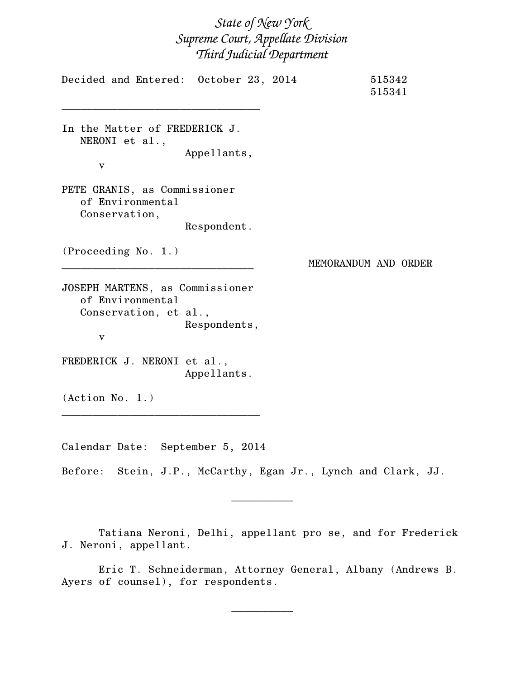## *State of New York Supreme Court, Appellate Division Third Judicial Department*

Decided and Entered: October 23, 2014 515342 515341 \_\_\_\_\_\_\_\_\_\_\_\_\_\_\_\_\_\_\_\_\_\_\_\_\_\_\_\_\_\_\_\_ In the Matter of FREDERICK J. NERONI et al., Appellants, v PETE GRANIS, as Commissioner of Environmental Conservation, Respondent. (Proceeding No. 1.) \_\_\_\_\_\_\_\_\_\_\_\_\_\_\_\_\_\_\_\_\_\_\_\_\_\_\_\_\_\_\_ MEMORANDUM AND ORDER JOSEPH MARTENS, as Commissioner of Environmental Conservation, et al., Respondents, v FREDERICK J. NERONI et al., Appellants. (Action No. 1.) \_\_\_\_\_\_\_\_\_\_\_\_\_\_\_\_\_\_\_\_\_\_\_\_\_\_\_\_\_\_\_\_

Calendar Date: September 5, 2014

Before: Stein, J.P., McCarthy, Egan Jr., Lynch and Clark, JJ.

Tatiana Neroni, Delhi, appellant pro se, and for Frederick J. Neroni, appellant.

 $\frac{1}{2}$ 

Eric T. Schneiderman, Attorney General, Albany (Andrews B. Ayers of counsel), for respondents.

 $\frac{1}{2}$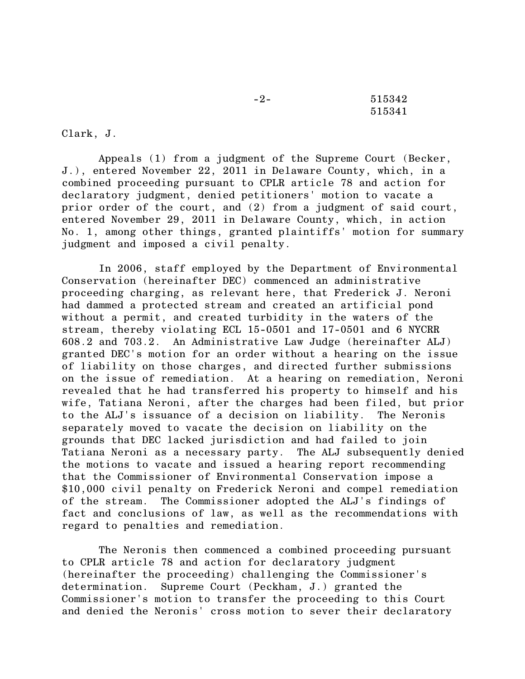-2- 515342 515341

Clark, J.

Appeals (1) from a judgment of the Supreme Court (Becker, J.), entered November 22, 2011 in Delaware County, which, in a combined proceeding pursuant to CPLR article 78 and action for declaratory judgment, denied petitioners' motion to vacate a prior order of the court, and (2) from a judgment of said court, entered November 29, 2011 in Delaware County, which, in action No. 1, among other things, granted plaintiffs' motion for summary judgment and imposed a civil penalty.

In 2006, staff employed by the Department of Environmental Conservation (hereinafter DEC) commenced an administrative proceeding charging, as relevant here, that Frederick J. Neroni had dammed a protected stream and created an artificial pond without a permit, and created turbidity in the waters of the stream, thereby violating ECL 15-0501 and 17-0501 and 6 NYCRR 608.2 and 703.2. An Administrative Law Judge (hereinafter ALJ) granted DEC's motion for an order without a hearing on the issue of liability on those charges, and directed further submissions on the issue of remediation. At a hearing on remediation, Neroni revealed that he had transferred his property to himself and his wife, Tatiana Neroni, after the charges had been filed, but prior to the ALJ's issuance of a decision on liability. The Neronis separately moved to vacate the decision on liability on the grounds that DEC lacked jurisdiction and had failed to join Tatiana Neroni as a necessary party. The ALJ subsequently denied the motions to vacate and issued a hearing report recommending that the Commissioner of Environmental Conservation impose a \$10,000 civil penalty on Frederick Neroni and compel remediation of the stream. The Commissioner adopted the ALJ's findings of fact and conclusions of law, as well as the recommendations with regard to penalties and remediation.

The Neronis then commenced a combined proceeding pursuant to CPLR article 78 and action for declaratory judgment (hereinafter the proceeding) challenging the Commissioner's determination. Supreme Court (Peckham, J.) granted the Commissioner's motion to transfer the proceeding to this Court and denied the Neronis' cross motion to sever their declaratory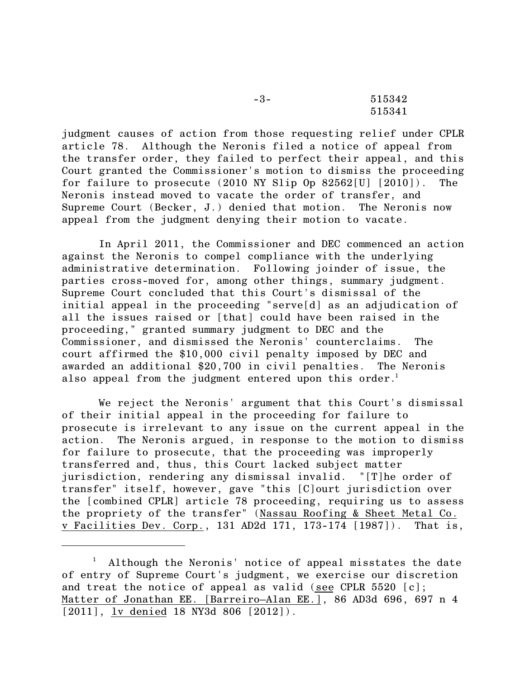| $-3-$ | 515342 |
|-------|--------|
|       | 515341 |

judgment causes of action from those requesting relief under CPLR article 78. Although the Neronis filed a notice of appeal from the transfer order, they failed to perfect their appeal, and this Court granted the Commissioner's motion to dismiss the proceeding for failure to prosecute (2010 NY Slip Op 82562[U] [2010]). The Neronis instead moved to vacate the order of transfer, and Supreme Court (Becker, J.) denied that motion. The Neronis now appeal from the judgment denying their motion to vacate.

In April 2011, the Commissioner and DEC commenced an action against the Neronis to compel compliance with the underlying administrative determination. Following joinder of issue, the parties cross-moved for, among other things, summary judgment. Supreme Court concluded that this Court's dismissal of the initial appeal in the proceeding "serve[d] as an adjudication of all the issues raised or [that] could have been raised in the proceeding," granted summary judgment to DEC and the Commissioner, and dismissed the Neronis' counterclaims. The court affirmed the \$10,000 civil penalty imposed by DEC and awarded an additional \$20,700 in civil penalties. The Neronis also appeal from the judgment entered upon this order.<sup>1</sup>

We reject the Neronis' argument that this Court's dismissal of their initial appeal in the proceeding for failure to prosecute is irrelevant to any issue on the current appeal in the action. The Neronis argued, in response to the motion to dismiss for failure to prosecute, that the proceeding was improperly transferred and, thus, this Court lacked subject matter jurisdiction, rendering any dismissal invalid. "[T]he order of transfer" itself, however, gave "this [C]ourt jurisdiction over the [combined CPLR] article 78 proceeding, requiring us to assess the propriety of the transfer" (Nassau Roofing & Sheet Metal Co. v Facilities Dev. Corp., 131 AD2d 171, 173-174 [1987]). That is,

 $<sup>1</sup>$  Although the Neronis' notice of appeal misstates the date</sup> of entry of Supreme Court's judgment, we exercise our discretion and treat the notice of appeal as valid (see CPLR 5520 [c]; Matter of Jonathan EE. [Barreiro–Alan EE.], 86 AD3d 696, 697 n 4 [2011], lv denied 18 NY3d 806 [2012]).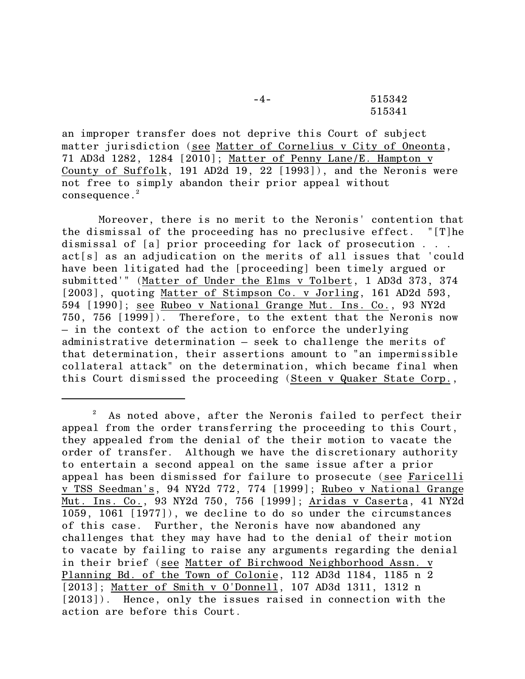-4- 515342 515341

an improper transfer does not deprive this Court of subject matter jurisdiction (see Matter of Cornelius v City of Oneonta, 71 AD3d 1282, 1284 [2010]; Matter of Penny Lane/E. Hampton v County of Suffolk, 191 AD2d 19, 22 [1993]), and the Neronis were not free to simply abandon their prior appeal without consequence.<sup>2</sup>

Moreover, there is no merit to the Neronis' contention that the dismissal of the proceeding has no preclusive effect. "[T]he dismissal of [a] prior proceeding for lack of prosecution . . . act[s] as an adjudication on the merits of all issues that 'could have been litigated had the [proceeding] been timely argued or submitted'" (Matter of Under the Elms v Tolbert, 1 AD3d 373, 374 [2003], quoting Matter of Stimpson Co. v Jorling, 161 AD2d 593, 594 [1990]; see Rubeo v National Grange Mut. Ins. Co., 93 NY2d 750, 756 [1999]). Therefore, to the extent that the Neronis now – in the context of the action to enforce the underlying administrative determination – seek to challenge the merits of that determination, their assertions amount to "an impermissible collateral attack" on the determination, which became final when this Court dismissed the proceeding (Steen v Quaker State Corp.,

 $2^2$  As noted above, after the Neronis failed to perfect their appeal from the order transferring the proceeding to this Court, they appealed from the denial of the their motion to vacate the order of transfer. Although we have the discretionary authority to entertain a second appeal on the same issue after a prior appeal has been dismissed for failure to prosecute (see Faricelli v TSS Seedman's, 94 NY2d 772, 774 [1999]; Rubeo v National Grange Mut. Ins. Co., 93 NY2d 750, 756 [1999]; Aridas v Caserta, 41 NY2d 1059, 1061 [1977]), we decline to do so under the circumstances of this case. Further, the Neronis have now abandoned any challenges that they may have had to the denial of their motion to vacate by failing to raise any arguments regarding the denial in their brief (see Matter of Birchwood Neighborhood Assn. v Planning Bd. of the Town of Colonie, 112 AD3d 1184, 1185 n 2 [2013]; Matter of Smith v O'Donnell, 107 AD3d 1311, 1312 n [2013]). Hence, only the issues raised in connection with the action are before this Court.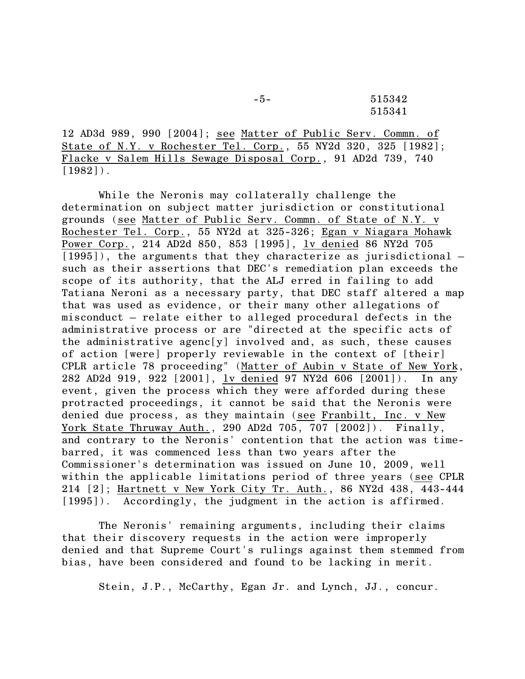-5- 515342 515341

12 AD3d 989, 990 [2004]; see Matter of Public Serv. Commn. of State of N.Y. v Rochester Tel. Corp., 55 NY2d 320, 325 [1982]; Flacke v Salem Hills Sewage Disposal Corp., 91 AD2d 739, 740  $[1982]$ .

While the Neronis may collaterally challenge the determination on subject matter jurisdiction or constitutional grounds (see Matter of Public Serv. Commn. of State of N.Y. v Rochester Tel. Corp., 55 NY2d at 325-326; Egan v Niagara Mohawk Power Corp., 214 AD2d 850, 853 [1995], <u>lv denied</u> 86 NY2d 705 [1995]), the arguments that they characterize as jurisdictional  $$ such as their assertions that DEC's remediation plan exceeds the scope of its authority, that the ALJ erred in failing to add Tatiana Neroni as a necessary party, that DEC staff altered a map that was used as evidence, or their many other allegations of misconduct – relate either to alleged procedural defects in the administrative process or are "directed at the specific acts of the administrative agenc[y] involved and, as such, these causes of action [were] properly reviewable in the context of [their] CPLR article 78 proceeding" (Matter of Aubin v State of New York, 282 AD2d 919, 922 [2001], lv denied 97 NY2d 606 [2001]). In any event, given the process which they were afforded during these protracted proceedings, it cannot be said that the Neronis were denied due process, as they maintain (see Franbilt, Inc. v New York State Thruway Auth., 290 AD2d 705, 707 [2002]). Finally, and contrary to the Neronis' contention that the action was timebarred, it was commenced less than two years after the Commissioner's determination was issued on June 10, 2009, well within the applicable limitations period of three years (see CPLR 214 [2]; Hartnett v New York City Tr. Auth., 86 NY2d 438, 443-444 [1995]). Accordingly, the judgment in the action is affirmed.

The Neronis' remaining arguments, including their claims that their discovery requests in the action were improperly denied and that Supreme Court's rulings against them stemmed from bias, have been considered and found to be lacking in merit.

Stein, J.P., McCarthy, Egan Jr. and Lynch, JJ., concur.